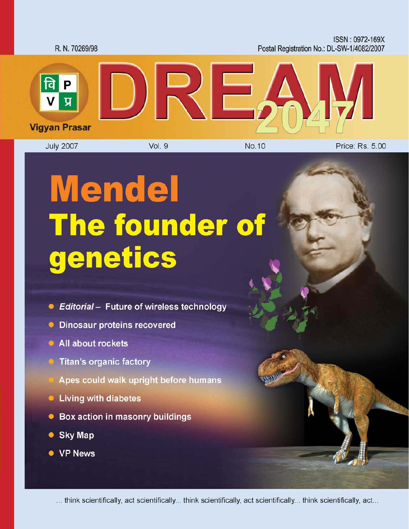

# **Mendel** The founder of genetics

- Editorial Future of wireless technology
- **Dinosaur proteins recovered**
- All about rockets
- Titan's organic factory
- Apes could walk upright before humans
- Living with diabetes
- Box action in masonry buildings
- **Sky Map**  $\bullet$
- VP News

... think scientifically, act scientifically... think scientifically, act scientifically... think scientifically, act...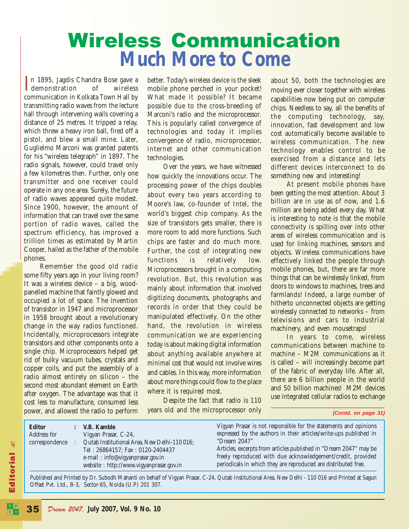# Wireless Communication **Much More to Come**

In 1895, Jagdis Chandra Bose gave a<br>demonstration of wireless demonstration of wireless communication in Kolkata Town Hall by transmitting radio waves from the lecture hall through intervening walls covering a distance of 25 metres. It tripped a relay, which threw a heavy iron ball, fired off a pistol, and blew a small mine. Later, Guglielmo Marconi was granted patents for his "wireless telegraph" in 1897. The radio signals, however, could travel only a few kilometres then. Further, only one transmitter and one receiver could operate in any one area. Surely, the future of radio waves appeared quite modest. Since 1900, however, the amount of information that can travel over the same portion of radio waves, called the spectrum efficiency, has improved a trillion times as estimated by Martin Cooper, hailed as the father of the mobile phones.

Remember the good old radio some fifty years ago in your living room? It was a wireless device – a big, woodpanelled machine that faintly glowed and occupied a lot of space. The invention of transistor in 1947 and microprocessor in 1958 brought about a revolutionary change in the way radios functioned. Incidentally, microprocessors integrate transistors and other components onto a single chip. Microprocessors helped get rid of bulky vacuum tubes, crystals and copper coils, and put the assembly of a radio almost entirely on silicon – the second most abundant element on Earth after oxygen. The advantage was that it cost less to manufacture, consumed less power, and allowed the radio to perform

better. Today's wireless device is the sleek mobile phone perched in your pocket! What made it possible? It became possible due to the cross-breeding of Marconi's radio and the microprocessor. This is popularly called convergence of technologies and today it implies convergence of radio, microprocessor, internet and other communication technologies.

Over the years, we have witnessed how quickly the innovations occur. The processing power of the chips doubles about every two years according to Moore's law, co-founder of Intel, the world's biggest chip company. As the size of transistors gets smaller, there is more room to add more functions. Such chips are faster and do much more. Further, the cost of integrating new functions is relatively low. Microprocessors brought in a computing revolution. But, this revolution was mainly about information that involved digitizing documents, photographs and records in order that they could be manipulated effectively. On the other hand, the revolution in wireless communication we are experiencing today is about making digital information about *anything* available *anywhere at minimal cost* that would *not* involve wires and cables. In this way, more information about more things could flow to the place where it is required most.

Despite the fact that radio is 110 years old and the microprocessor only about 50, both the technologies are moving ever closer together with wireless capabilities now being put on computer chips. Needless to say, all the benefits of the computing technology, say, innovation, fast development and low cost automatically become available to wireless communication. The new technology enables control to be exercised from a distance and lets different devices interconnect to do something new and interesting!

At present mobile phones have been getting the most attention. About 3 billion are in use as of now, and 1.6 million are being added every day. What is interesting to note is that the mobile connectivity is spilling over into other areas of wireless communication and is used for linking machines, sensors and objects. Wireless communications have effectively linked the people through mobile phones, but, there are far more things that can be wirelessly linked, from doors to windows to machines, trees and farmlands! Indeed, a large number of hitherto unconnected objects are getting wirelessly connected to networks – from televisions and cars to industrial machinery, and even mousetraps!

In years to come, wireless communications between machine to machine – M2M communications as it is called – will increasingly become part of the fabric of everyday life. After all, there are 6 billion people in the world and 50 billion machines! M2M devices use integrated cellular radios to exchange

#### **(Contd. on page 31)**

| <b>Editor</b><br>Address for<br>correspondence |  | V.B. Kamble<br>Vigyan Prasar, C-24,<br>Qutab Institutional Area, New Delhi-110016;<br>Tel: 26864157; Fax: 0120-2404437<br>e-mail: info@vigyanprasar.gov.in<br>website: http://www.vigyanprasar.gov.in | Vigyan Prasar is not responsible for the statements and opinions<br>expressed by the authors in their articles/write-ups published in<br>"Dream 2047"<br>Articles, excerpts from articles published in "Dream 2047" may be<br>freely reproduced with due acknowledgement/credit, provided<br>periodicals in which they are reproduced are distributed free. |
|------------------------------------------------|--|-------------------------------------------------------------------------------------------------------------------------------------------------------------------------------------------------------|-------------------------------------------------------------------------------------------------------------------------------------------------------------------------------------------------------------------------------------------------------------------------------------------------------------------------------------------------------------|
|------------------------------------------------|--|-------------------------------------------------------------------------------------------------------------------------------------------------------------------------------------------------------|-------------------------------------------------------------------------------------------------------------------------------------------------------------------------------------------------------------------------------------------------------------------------------------------------------------------------------------------------------------|

Published and Printed by Dr. Subodh Mahanti on behalf of Vigyan Prasar, C-24, Qutab Institutional Area, New Delhi - 110 016 and Printed at Sagun Offset Pvt. Ltd., B-3, Sector-65, Noida (U.P) 201 307.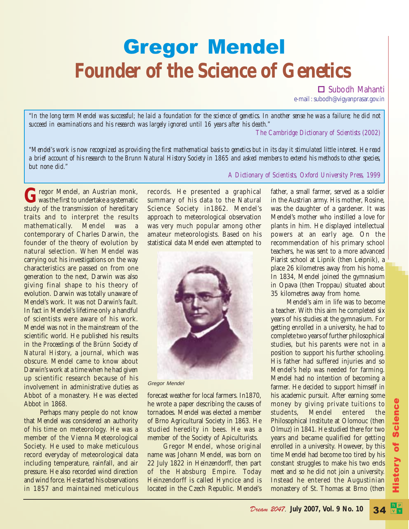# Gregor Mendel **Founder of the Science of Genetics**

□ Subodh Mahanti

e-mail : subodh@vigyanprasar.gov.in

*"In the long term Mendel was successful; he laid a foundation for the science of genetics. In another sense he was a failure; he did not succeed in examinations and his research was largely ignored until 16 years after his death."*

*The Cambridge Dictionary of Scientists (2002)*

*"Mendel's work is now recognized as providing the first mathematical basis to genetics but in its day it stimulated little interest. He read a brief account of his research to the Brunn Natural History Society in 1865 and asked members to extend his methods to other species, but none did."*

Gregor Mendel, an Austrian monk,<br>was the first to undertake a systematic<br>study of the transmission of handitami study of the transmission of hereditary traits and to interpret the results mathematically. Mendel was a contemporary of Charles Darwin, the founder of the theory of evolution by natural selection. When Mendel was carrying out his investigations on the way characteristics are passed on from one generation to the next, Darwin was also giving final shape to his theory of evolution. Darwin was totally unaware of Mendel's work. It was not Darwin's fault. In fact in Mendel's lifetime only a handful of scientists were aware of his work. Mendel was not in the mainstream of the scientific world. He published his results in the *Proceedings of the Brünn Society of Natural History*, a journal, which was obscure. Mendel came to know about Darwin's work at a time when he had given up scientific research because of his involvement in administrative duties as Abbot of a monastery. He was elected Abbot in 1868.

Perhaps many people do not know that Mendel was considered an authority of his time on meteorology. He was a member of the Vienna Meteorological Society. He used to make meticulous record everyday of meteorological data including temperature, rainfall, and air pressure. He also recorded wind direction and wind force. He started his observations in 1857 and maintained meticulous

records. He presented a graphical summary of his data to the Natural Science Society in1862. Mendel's approach to meteorological observation was very much popular among other amateur meteorologists. Based on his statistical data Mendel even attempted to



Gregor Mendel

forecast weather for local farmers. In1870, he wrote a paper describing the causes of tornadoes. Mendel was elected a member of Brno Agricultural Society in 1863. He studied heredity in bees. He was a member of the Society of Apiculturists.

Gregor Mendel, whose original name was Johann Mendel, was born on 22 July 1822 in Heinzendorff, then part of the Habsburg Empire. Today Heinzendorff is called Hyncice and is located in the Czech Republic. Mendel's

*A Dictionary of Scientists, Oxford University Press, 1999*

father, a small farmer, served as a soldier in the Austrian army. His mother, Rosine, was the daughter of a gardener. It was Mendel's mother who instilled a love for plants in him. He displayed intellectual powers at an early age. On the recommendation of his primary school teachers, he was sent to a more advanced Piarist school at Lipnik (then Leipnik), a place 26 kilometres away from his home. In 1834, Mendel joined the gymnasium in Opava (then Troppau) situated about 35 kilometres away from home.

Mendel's aim in life was to become a teacher. With this aim he completed six years of his studies at the gymnasium. For getting enrolled in a university, he had to complete two years of further philosophical studies, but his parents were not in a position to support his further schooling. His father had suffered injuries and so Mendel's help was needed for farming. Mendel had no intention of becoming a farmer. He decided to support himself in his academic pursuit. After earning some money by giving private tuitions to students, Mendel entered the Philosophical Institute at Olomouc (then Olmuz) in 1841. He studied there for two years and became qualified for getting enrolled in a university. However, by this time Mendel had become too tired by his constant struggles to make his two ends meet and so he did not join a university. Instead he entered the Augustinian monastery of St. Thomas at Brno (then

34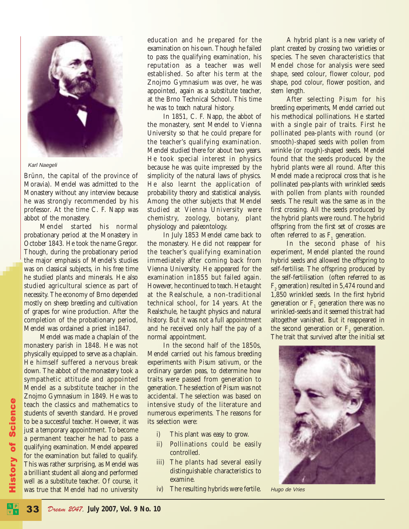

Karl Naegeli

Brünn, the capital of the province of Moravia). Mendel was admitted to the Monastery without any interview because he was strongly recommended by his professor. At the time C. F. Napp was abbot of the monastery.

Mendel started his normal probationary period at the Monastery in October 1843. He took the name Gregor. Though, during the probationary period the major emphasis of Mendel's studies was on classical subjects, in his free time he studied plants and minerals. He also studied agricultural science as part of necessity. The economy of Brno depended mostly on sheep breeding and cultivation of grapes for wine production. After the completion of the probationary period, Mendel was ordained a priest in1847.

Mendel was made a chaplain of the monastery parish in 1848. He was not physically equipped to serve as a chaplain. He himself suffered a nervous break down. The abbot of the monastery took a sympathetic attitude and appointed Mendel as a substitute teacher in the Znojmo Gymnasium in 1849. He was to teach the classics and mathematics to students of seventh standard. He proved to be a successful teacher. However, it was just a temporary appointment. To become a permanent teacher he had to pass a qualifying examination. Mendel appeared for the examination but failed to qualify. This was rather surprising, as Mendel was a brilliant student all along and performed well as a substitute teacher. Of course, it was true that Mendel had no university

History of Science

story of Science

education and he prepared for the examination on his own. Though he failed to pass the qualifying examination, his reputation as a teacher was well established. So after his term at the Znojmo Gymnasium was over, he was appointed, again as a substitute teacher, at the Brno Technical School. This time he was to teach natural history.

In 1851, C. F. Napp, the abbot of the monastery, sent Mendel to Vienna University so that he could prepare for the teacher's qualifying examination. Mendel studied there for about two years. He took special interest in physics because he was quite impressed by the simplicity of the natural laws of physics. He also learnt the application of probability theory and statistical analysis. Among the other subjects that Mendel studied at Vienna University were chemistry, zoology, botany, plant physiology and paleontology.

In July 1853 Mendel came back to the monastery. He did not reappear for the teacher's qualifying examination immediately after coming back from Vienna University. He appeared for the examination in1855 but failed again. However, he continued to teach. He taught at the Realschule, a non-traditional technical school, for 14 years. At the Realschule, he taught physics and natural history. But it was not a full appointment and he received only half the pay of a normal appointment.

In the second half of the 1850s, Mendel carried out his famous breeding experiments with *Pisum sativum*, or the ordinary garden peas, to determine how traits were passed from generation to generation. The selection of *Pisum* was not accidental. The selection was based on intensive study of the literature and numerous experiments. The reasons for its selection were:

- i) This plant was easy to grow.
- ii) Pollinations could be easily controlled.
- iii) The plants had several easily distinguishable characteristics to examine.
- iv) The resulting hybrids were fertile.

A hybrid plant is a new variety of plant created by crossing two varieties or species. The seven characteristics that Mendel chose for analysis were seed shape, seed colour, flower colour, pod shape, pod colour, flower position, and stem length.

After selecting *Pisum* for his breeding experiments, Mendel carried out his methodical pollinations. He started with a single pair of traits. First he pollinated pea-plants with round (or smooth)-shaped seeds with pollen from wrinkle (or rough)-shaped seeds. Mendel found that the seeds produced by the hybrid plants were all round. After this Mendel made a reciprocal cross that is he pollinated pea-plants with wrinkled seeds with pollen from plants with rounded seeds. The result was the same as in the first crossing. All the seeds produced by the hybrid plants were round. The hybrid offspring from the first set of crosses are often referred to as  $F_1$  generation.

In the second phase of his experiment, Mendel planted the round hybrid seeds and allowed the offspring to self-fertilise. The offspring produced by the self-fertilisation (often referred to as  $\mathrm{F}_\mathrm{z}$  generation) resulted in 5,474 round and 1,850 wrinkled seeds. In the first hybrid generation or  $F_1$  generation there was no wrinkled-seeds and it seemed this trait had altogether vanished. But it reappeared in the second generation or  $\mathrm{F}_\mathrm{2}$  generation. The trait that survived after the initial set



Hugo de Vries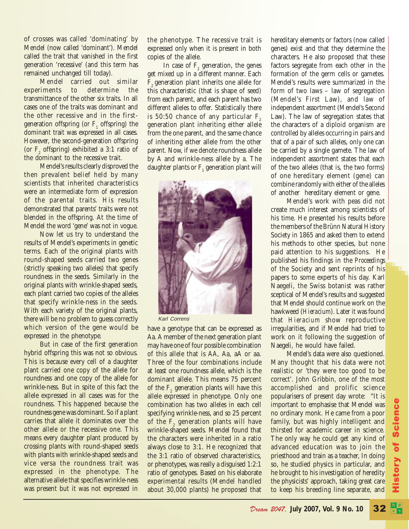of crosses was called 'dominating' by Mendel (now called 'dominant'). Mendel called the trait that vanished in the first generation 'recessive' (and this term has remained unchanged till today).

Mendel carried out similar experiments to determine the transmittance of the other six traits. In all cases one of the traits was dominant and the other recessive and in the firstgeneration offspring (or  $F_1$  offspring) the dominant trait was expressed in all cases. However, the second-generation offspring (or  $F_2$  offspring) exhibited a 3:1 ratio of the dominant to the recessive trait.

Mendel's results clearly disproved the then prevalent belief held by many scientists that inherited characteristics were an intermediate form of expression of the parental traits. His results demonstrated that parents' traits were not blended in the offspring. At the time of Mendel the word 'gene' was not in vogue.

Now let us try to understand the results of Mendel's experiments in genetic terms. Each of the original plants with round-shaped seeds carried two genes (strictly speaking two alleles) that specify roundness in the seeds. Similarly in the original plants with wrinkle-shaped seeds, each plant carried two copies of the alleles that specify wrinkle-ness in the seeds. With each variety of the original plants, there will be no problem to guess correctly which version of the gene would be expressed in the phenotype.

But in case of the first generation hybrid offspring this was not so obvious. This is because every cell of a daughter plant carried one copy of the allele for roundness and one copy of the allele for wrinkle-ness. But in spite of this fact the allele expressed in all cases was for the roundness. This happened because the roundness gene was dominant. So if a plant carries that allele it dominates over the other allele or the recessive one. This means every daughter plant produced by crossing plants with round-shaped seeds with plants with wrinkle-shaped seeds and vice versa the roundness trait was expressed in the phenotype. The alternative allele that specifies wrinkle-ness was present but it was not expressed in

the phenotype. The recessive trait is expressed only when it is present in both copies of the allele.

In case of  $F<sub>2</sub>$  generation, the genes get mixed up in a different manner. Each  $F<sub>2</sub>$  generation plant inherits one allele for this characteristic (that is shape of seed) from each parent, and each parent has two different alleles to offer. Statistically there is  $50:50$  chance of any particular  $F<sub>2</sub>$ generation plant inheriting either allele from the one parent, and the same chance of inheriting either allele from the other parent. Now, if we denote roundness allele by A and wrinkle-ness allele by a. The daughter plants or  $\mathrm{F}_1$  generation plant will



Karl Correns

have a genotype that can be expressed as Aa. A member of the next generation plant may have one of four possible combination of this allele that is AA, Aa, aA or aa. Three of the four combinations include at least one roundness allele, which is the dominant allele. This means 75 percent of the  $F_2$  generation plants will have this allele expressed in phenotype. Only one combination has two alleles in each cell specifying wrinkle-ness, and so 25 percent of the  $F_{2}$  generation plants will have wrinkle-shaped seeds. Mendel found that the characters were inherited in a ratio always close to 3:1. He recognized that the 3:1 ratio of observed characteristics, or phenotypes, was really a disguised 1:2:1 ratio of genotypes. Based on his elaborate experimental results (Mendel handled about 30,000 plants) he proposed that

hereditary elements or factors (now called genes) exist and that they determine the characters. He also proposed that these factors segregate from each other in the formation of the germ cells or gametes. Mendel's results were summarized in the form of two laws – law of segregation (Mendel's First Law), and law of independent assortment (Mendel's Second Law). The law of segregation states that the characters of a diploid organism are controlled by alleles occurring in pairs and that of a pair of such alleles, only one can be carried by a single gamete. The law of independent assortment states that each of the two alleles (that is, the two forms) of one hereditary element (gene) can combine randomly with either of the alleles of another hereditary element or gene.

Mendel's work with peas did not create much interest among scientists of his time. He presented his results before the members of the Brünn Natural History Society in 1865 and asked them to extend his methods to other species, but none paid attention to his suggestions. He published his findings in the *Proceedings* of the Society and sent reprints of his papers to some experts of his day. Karl Naegeli, the Swiss botanist was rather sceptical of Mendel's results and suggested that Mendel should continue work on the hawkweed (*Hieracium*). Later it was found that *Hieracium* show reproductive irregularities, and if Mendel had tried to work on it following the suggestion of Naegeli, he would have failed.

Mendel's data were also questioned. Many thought that his data were not realistic or 'they were too good to be correct'. John Gribbin, one of the most accomplished and prolific science popularisers of present day wrote: "It is important to emphasise that Mendel was no ordinary monk. He came from a poor family, but was highly intelligent and thirsted for academic career in science. The only way he could get any kind of advanced education was to join the priesthood and train as a teacher, In doing so, he studied physics in particular, and he brought to his investigation of heredity the physicists' approach, taking great care to keep his breeding line separate, and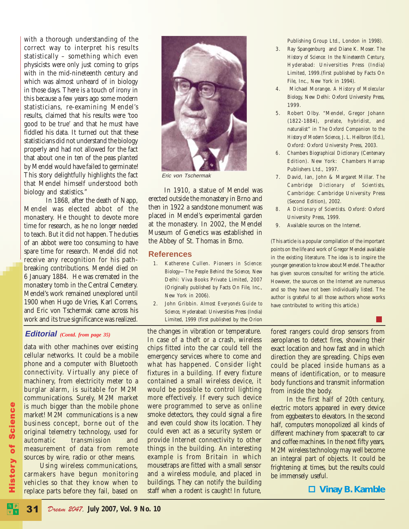with a thorough understanding of the correct way to interpret his results statistically – something which even physicists were only just coming to grips with in the mid-nineteenth century and which was almost unheard of in biology in those days. There is a touch of irony in this because a few years ago some modern statisticians, re-examining Mendel's results, claimed that his results were 'too good to be true' and that he must have fiddled his data. It turned out that these statisticians did not understand the biology properly and had not allowed for the fact that about one in ten of the peas planted by Mendel would have failed to germinate! This story delightfully highlights the fact that Mendel himself understood both biology and statistics."

 In 1868, after the death of Napp, Mendel was elected abbot of the monastery. He thought to devote more time for research, as he no longer needed to teach. But it did not happen. The duties of an abbot were too consuming to have spare time for research. Mendel did not receive any recognition for his pathbreaking contributions. Mendel died on 6 January 1884. He was cremated in the monastery tomb in the Central Cemetery. Mendel's work remained unexplored until 1900 when Hugo de Vries, Karl Correns, and Eric von Tschermak came across his work and its true significance was realized.



Eric von Tschermak

In 1910, a statue of Mendel was erected outside the monastery in Brno and then in 1922 a sandstone monument was placed in Mendel's experimental garden at the monastery. In 2002, the Mendel Museum of Genetics was established in the Abbey of St. Thomas in Brno.

#### **References**

- 1. Katherene Cullen. *Pioneers in Science: Biology—The People Behind the Science,* New Delhi: Viva Books Private Limited, 2007 (Originally published by Facts On File, Inc., New York in 2006).
- 2. John Gribbin. *Almost Everyone's Guide to Science*, Hyderabad: Universities Press (India) Limited, 1999 (first published by the Orion

#### **Editorial** *(Contd. from page 35)*

data with other machines over existing cellular networks. It could be a mobile phone and a computer with Bluetooth connectivity. Virtually any piece of machinery, from electricity meter to a burglar alarm, is suitable for M2M communications. Surely, M2M market is much bigger than the mobile phone market! M2M communications is a new business concept, borne out of the original telemetry technology, used for automatic transmission and measurement of data from remote sources by wire, radio or other means.

Using wireless communications, carmakers have begun monitoring vehicles so that they know when to replace parts before they fail, based on the changes in vibration or temperature. In case of a theft or a crash, wireless chips fitted into the car could tell the emergency services where to come and what has happened. Consider light fixtures in a building. If every fixture contained a small wireless device, it would be possible to control lighting more effectively. If every such device were programmed to serve as online smoke detectors, they could signal a fire and even could show its location. They could even act as a security system or provide Internet connectivity to other things in the building. An interesting example is from Britain in which mousetraps are fitted with a small sensor and a wireless module, and placed in buildings. They can notify the building staff when a rodent is caught! In future,

forest rangers could drop sensors from aeroplanes to detect fires, showing their exact location and how fast and in which direction they are spreading. Chips even could be placed inside humans as a means of identification, or to measure body functions and transmit information from inside the body.

In the first half of 20th century, electric motors appeared in every device from eggbeaters to elevators. In the second half, computers monopolized all kinds of different machinery from spacecraft to car and coffee machines. In the next fifty years, M2M wireless technology may well become an integral part of objects. It could be frightening at times, but the results could be immensely useful.

 **Vinay B. Kamble**

Publishing Group Ltd., London in 1998).

- 3. Ray Spangenburg and Diane K. Moser. *The History of Science: In the Nineteenth Century,* Hyderabad: Universities Press (India) Limited, 1999.(first published by Facts On File, Inc., New York in 1994).
- 4. Michael Morange. *A History of Molecular Biology,* New Delhi: Oxford University Press, 1999.
- 5. Robert Olby. "Mendel, Gregor Johann (1822-1884), prelate, hybridist, and naturalist" in *The Oxford Companion to the History of Modern Science*, J. L. Heilbron (Ed.), Oxford: Oxford University Press, 2003.
- *6. Chambers Biographical Dictionary* (Centenary Edition). New York: Chambers Harrap Publishers Ltd., 1997.
- 7. David, Ian, John & Margaret Millar. *The Cambridge Dictionary of Scientists*, Cambridge: Cambridge University Press (Second Edition), 2002.
- *8. A Dictionary of Scientists.* Oxford: Oxford University Press, 1999.
- 9. Available sources on the Internet.

(This article is a popular compilation of the important points on the life and work of Gregor Mendel available in the existing literature. The idea is to inspire the younger generation to know about Mendel. The author has given sources consulted for writing the article. However, the sources on the Internet are numerous and so they have not been individually listed. The author is grateful to all those authors whose works have contributed to writing this article.)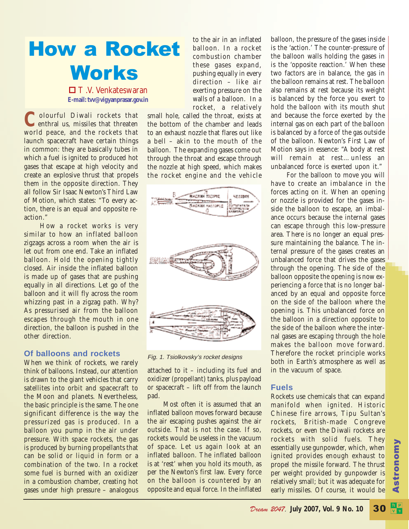

 $\Box$  T.V. Venkateswaran **E-mail: tvv@vigyanprasar.gov.in**

Colourful Diwali rockets that<br>enthral us, missiles that threaten world peace, and the rockets that launch spacecraft have certain things in common: they are basically tubes in which a fuel is ignited to produced hot gases that escape at high velocity and create an explosive thrust that propels them in the opposite direction. They all follow Sir Isaac Newton's Third Law of Motion, which states: "To every action, there is an equal and opposite reaction."

How a rocket works is very similar to how an inflated balloon zigzags across a room when the air is let out from one end. Take an inflated balloon. Hold the opening tightly closed. Air inside the inflated balloon is made up of gases that are pushing equally in all directions. Let go of the balloon and it will fly across the room whizzing past in a zigzag path. Why? As pressurised air from the balloon escapes through the mouth in one direction, the balloon is pushed in the other direction.

#### **Of balloons and rockets**

When we think of rockets, we rarely think of balloons. Instead, our attention is drawn to the giant vehicles that carry satellites into orbit and spacecraft to the Moon and planets. Nevertheless, the basic principle is the same. The one significant difference is the way the pressurized gas is produced. In a balloon you pump in the air under pressure. With space rockets, the gas is produced by burning propellants that can be solid or liquid in form or a combination of the two. In a rocket some fuel is burned with an oxidizer in a combustion chamber, creating hot gases under high pressure – analogous

to the air in an inflated balloon. In a rocket combustion chamber these gases expand, pushing equally in every direction – like air exerting pressure on the walls of a balloon. In a rocket, a relatively

small hole, called the throat, exists at the bottom of the chamber and leads to an exhaust nozzle that flares out like a bell – akin to the mouth of the balloon. The expanding gases come out through the throat and escape through the nozzle at high speed, which makes the rocket engine and the vehicle



Fig. 1. Tsiolkovsky's rocket designs

attached to it – including its fuel and oxidizer (propellant) tanks, plus payload or spacecraft – lift off from the launch pad.

Most often it is assumed that an inflated balloon moves forward because the air escaping pushes against the air outside. That is not the case. If so, rockets would be useless in the vacuum of space. Let us again look at an inflated balloon. The inflated balloon is at 'rest' when you hold its mouth, as per the Newton's first law. Every force on the balloon is countered by an opposite and equal force. In the inflated balloon, the pressure of the gases inside is the 'action.' The counter-pressure of the balloon walls holding the gases in is the 'opposite reaction.' When these two factors are in balance, the gas in the balloon remains at rest. The balloon also remains at rest because its weight is balanced by the force you exert to hold the balloon with its mouth shut and because the force exerted by the internal gas on each part of the balloon is balanced by a force of the gas outside of the balloon. Newton's First Law of Motion says in essence: "A body at rest will remain at rest…unless an unbalanced force is exerted upon it."

For the balloon to move you will have to create an imbalance in the forces acting on it. When an opening or nozzle is provided for the gases inside the balloon to escape, an imbalance occurs because the internal gases can escape through this low-pressure area. There is no longer an equal pressure maintaining the balance. The internal pressure of the gases creates an unbalanced force that drives the gases through the opening. The side of the balloon opposite the opening is now experiencing a force that is no longer balanced by an equal and opposite force on the side of the balloon where the opening is. This unbalanced force on the balloon in a direction opposite to the side of the balloon where the internal gases are escaping through the hole makes the balloon move forward. Therefore the rocket principle works both in Earth's atmosphere as well as in the vacuum of space.

#### **Fuels**

Rockets use chemicals that can expand manifold when ignited. Historic Chinese fire arrows, Tipu Sultan's rockets, British-made Congreve rockets, or even the Diwali rockets are rockets with solid fuels. They essentially use gunpowder, which, when ignited provides enough exhaust to propel the missile forward. The thrust per weight provided by gunpowder is relatively small; but it was adequate for early missiles. Of course, it would be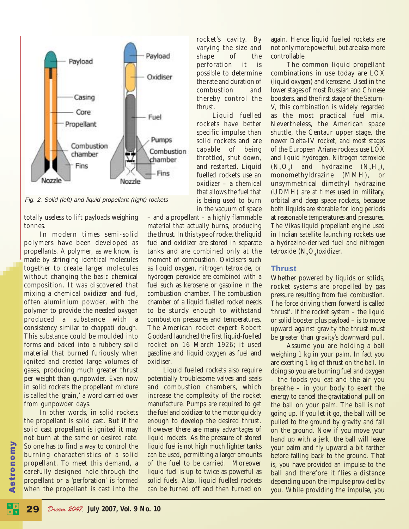

Fig. 2. Solid (left) and liquid propellant (right) rockets

totally useless to lift payloads weighing tonnes.

In modern times semi-solid polymers have been developed as propellants. A polymer, as we know, is made by stringing identical molecules together to create larger molecules without changing the basic chemical composition. It was discovered that mixing a chemical oxidizer and fuel, often aluminium powder, with the polymer to provide the needed oxygen produced a substance with a consistency similar to *chappati* dough. This substance could be moulded into forms and baked into a rubbery solid material that burned furiously when ignited and created large volumes of gases, producing much greater thrust per weight than gunpowder. Even now in solid rockets the propellant mixture is called the 'grain,' a word carried over from gunpowder days.

In other words, in solid rockets the propellant is solid cast. But if the solid cast propellant is ignited it may not burn at the same or desired rate. So one has to find a way to control the burning characteristics of a solid propellant. To meet this demand, a carefully designed hole through the propellant or a 'perforation' is formed when the propellant is cast into the

rocket's cavity. By varying the size and shape of the perforation it is possible to determine the rate and duration of combustion and thereby control the thrust.

Liquid fuelled rockets have better specific impulse than solid rockets and are capable of being throttled, shut down, and restarted. Liquid fuelled rockets use an oxidizer – a chemical that allows the fuel that is being used to burn in the vacuum of space

– and a propellant – a highly flammable material that actually burns, producing the thrust. In this type of rocket the liquid fuel and oxidizer are stored in separate tanks and are combined only at the moment of combustion. Oxidisers such as liquid oxygen, nitrogen tetroxide, or hydrogen peroxide are combined with a fuel such as kerosene or gasoline in the combustion chamber. The combustion chamber of a liquid fuelled rocket needs to be sturdy enough to withstand combustion pressures and temperatures. The American rocket expert Robert Goddard launched the first liquid-fuelled rocket on 16 March 1926; it used gasoline and liquid oxygen as fuel and oxidiser.

Liquid fuelled rockets also require potentially troublesome valves and seals and combustion chambers, which increase the complexity of the rocket manufacture. Pumps are required to get the fuel and oxidizer to the motor quickly enough to develop the desired thrust. However there are many advantages of liquid rockets. As the pressure of stored liquid fuel is not high much lighter tanks can be used, permitting a larger amounts of the fuel to be carried. Moreover liquid fuel is up to twice as powerful as solid fuels. Also, liquid fuelled rockets can be turned off and then turned on

again. Hence liquid fuelled rockets are not only more powerful, but are also more controllable.

The common liquid propellant combinations in use today are LOX (liquid oxygen) and kerosene. Used in the lower stages of most Russian and Chinese boosters, and the first stage of the Saturn-V, this combination is widely regarded as the most practical fuel mix. Nevertheless, the American space shuttle, the Centaur upper stage, the newer Delta-IV rocket, and most stages of the European Ariane rockets use LOX and liquid hydrogen. Nitrogen tetroxide  $(N_0O_4)$  and hydrazine  $(N_0H_4)$ , monomethyldrazine (MMH), or unsymmetrical dimethyl hydrazine (UDMH) are at times used in military, orbital and deep space rockets, because both liquids are storable for long periods at reasonable temperatures and pressures. The *Vikas* liquid propellant engine used in Indian satellite launching rockets use a hydrazine-derived fuel and nitrogen tetroxide  $(N_2O_4)$ oxidizer.

#### **Thrust**

Whether powered by liquids or solids, rocket systems are propelled by gas pressure resulting from fuel combustion. The force driving them forward is called 'thrust'. If the rocket system – the liquid or solid booster plus payload – is to move upward against gravity the thrust must be greater than gravity's downward pull.

Assume you are holding a ball weighing 1 kg in your palm. In fact you are exerting 1 kg of thrust on the ball. In doing so you are burning fuel and oxygen – the foods you eat and the air you breathe – in your body to exert the energy to cancel the gravitational pull on the ball on your palm. The ball is not going up. If you let it go, the ball will be pulled to the ground by gravity and fall on the ground. Now if you move your hand up with a jerk, the ball will leave your palm and fly upward a bit farther before falling back to the ground. That is, you have provided an impulse to the ball and therefore it flies a distance depending upon the impulse provided by you. While providing the impulse, you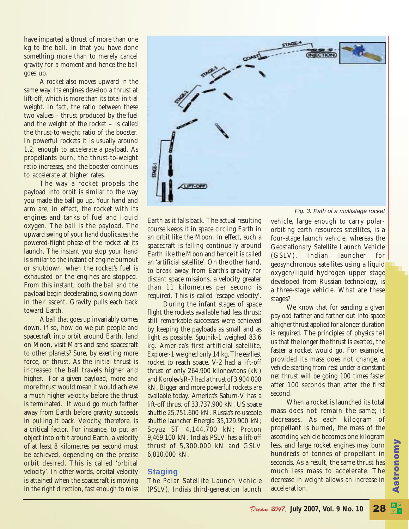have imparted a thrust of more than one kg to the ball. In that you have done something more than to merely cancel gravity for a moment and hence the ball goes up.

A rocket also moves upward in the same way. Its engines develop a thrust at lift-off, which is more than its total initial weight. In fact, the ratio between these two values – thrust produced by the fuel and the weight of the rocket – is called the thrust-to-weight ratio of the booster. In powerful rockets it is usually around 1.2, enough to accelerate a payload. As propellants burn, the thrust-to-weight ratio increases, and the booster continues to accelerate at higher rates.

The way a rocket propels the payload into orbit is similar to the way you made the ball go up. Your hand and arm are, in effect, the rocket with its engines and tanks of fuel and liquid oxygen. The ball is the payload. The upward swing of your hand duplicates the powered-flight phase of the rocket at its launch. The instant you stop your hand is similar to the instant of engine burnout or shutdown, when the rocket's fuel is exhausted or the engines are stopped. From this instant, both the ball and the payload begin decelerating, slowing down in their ascent. Gravity pulls each back toward Earth.

A ball that goes up invariably comes down. If so, how do we put people and spacecraft into orbit around Earth, land on Moon, visit Mars and send spacecraft to other planets? Sure, by exerting more force, or thrust. As the initial thrust is increased the ball travels higher and higher. For a given payload, more and more thrust would mean it would achieve a much higher velocity before the thrust is terminated. It would go much farther away from Earth before gravity succeeds in pulling it back. Velocity, therefore, is a critical factor. For instance, to put an object into orbit around Earth, a velocity of at least 8 kilometres per second must be achieved, depending on the precise orbit desired. This is called 'orbital velocity'. In other words, orbital velocity is attained when the spacecraft is moving in the right direction, fast enough to miss Earth as it falls back. The actual resulting course keeps it in space circling Earth in an orbit like the Moon. In effect, such a spacecraft is falling continually around Earth like the Moon and hence it is called an 'artificial satellite'. On the other hand, to break away from Earth's gravity for distant space missions, a velocity greater than 11 kilometres per second is required. This is called 'escape velocity'.

During the infant stages of space flight the rockets available had less thrust; still remarkable successes were achieved by keeping the payloads as small and as light as possible. *Sputnik-1* weighed 83.6 kg. America's first artificial satellite, *Explorer-1* weighed only 14 kg. The earliest rocket to reach space, V-2 had a lift-off thrust of only 264.900 kilonewtons (kN) and Korolev's R-7 had a thrust of 3,904.000 kN. Bigger and more powerful rockets are available today. America's Saturn-V has a lift-off thrust of 33,737.900 kN, US space shuttle 25,751.600 kN, Russia's re-useable shuttle launcher Energia 35,129.900 kN; Soyuz ST 4,144.700 kN; Proton 9,469.100 kN. India's PSLV has a lift-off thrust of 5,300.000 kN and GSLV 6,810.000 kN.

#### **Staging**

The Polar Satellite Launch Vehicle (PSLV), India's third-generation launch vehicle, large enough to carry polarorbiting earth resources satellites, is a four-stage launch vehicle, whereas the Geostationary Satellite Launch Vehicle (GSLV), Indian launcher for geosynchronous satellites using a liquid oxygen/liquid hydrogen upper stage developed from Russian technology, is a three-stage vehicle. What are these stages?

We know that for sending a given payload farther and farther out into space a higher thrust applied for a longer duration is required. The principles of physics tell us that the longer the thrust is exerted, the faster a rocket would go. For example, provided its mass does not change, a vehicle starting from rest under a constant net thrust will be going 100 times faster after 100 seconds than after the first second.

When a rocket is launched its total mass does not remain the same; it decreases. As each kilogram of propellant is burned, the mass of the ascending vehicle becomes one kilogram less, and large rocket engines may burn hundreds of tonnes of propellant in seconds. As a result, the same thrust has much less mass to accelerate. The decrease in weight allows an increase in acceleration.

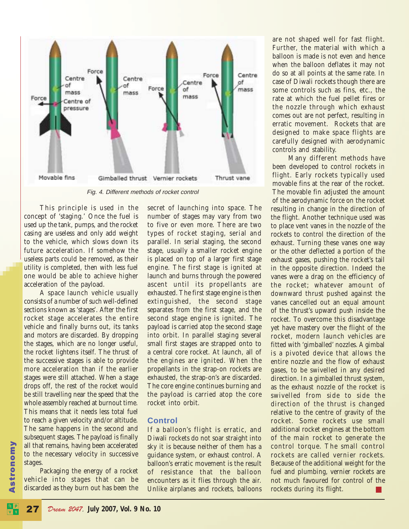

Fig. 4. Different methods of rocket control

This principle is used in the concept of 'staging.' Once the fuel is used up the tank, pumps, and the rocket casing are useless and only add weight to the vehicle, which slows down its future acceleration. If somehow the useless parts could be removed, as their utility is completed, then with less fuel one would be able to achieve higher acceleration of the payload.

A space launch vehicle usually consists of a number of such well-defined sections known as 'stages'. After the first rocket stage accelerates the entire vehicle and finally burns out, its tanks and motors are discarded. By dropping the stages, which are no longer useful, the rocket lightens itself. The thrust of the successive stages is able to provide more acceleration than if the earlier stages were still attached. When a stage drops off, the rest of the rocket would be still travelling near the speed that the whole assembly reached at burnout time. This means that it needs less total fuel to reach a given velocity and/or altitude. The same happens in the second and subsequent stages. The payload is finally all that remains, having been accelerated to the necessary velocity in successive stages.

Packaging the energy of a rocket vehicle into stages that can be discarded as they burn out has been the

secret of launching into space. The number of stages may vary from two to five or even more. There are two types of rocket staging, serial and parallel. In serial staging, the second stage, usually a smaller rocket engine is placed on top of a larger first stage engine. The first stage is ignited at launch and burns through the powered ascent until its propellants are exhausted. The first stage engine is then extinguished, the second stage separates from the first stage, and the second stage engine is ignited. The payload is carried atop the second stage into orbit. In parallel staging several small first stages are strapped onto to a central core rocket. At launch, all of the engines are ignited. When the propellants in the strap-on rockets are exhausted, the strap-on's are discarded. The core engine continues burning and the payload is carried atop the core rocket into orbit.

#### **Control**

If a balloon's flight is erratic, and Diwali rockets do not soar straight into sky it is because neither of them has a guidance system, or exhaust control. A balloon's erratic movement is the result of resistance that the balloon encounters as it flies through the air. Unlike airplanes and rockets, balloons

are not shaped well for fast flight. Further, the material with which a balloon is made is not even and hence when the balloon deflates it may not do so at all points at the same rate. In case of Diwali rockets though there are some controls such as fins, etc., the rate at which the fuel pellet fires or the nozzle through which exhaust comes out are not perfect, resulting in erratic movement. Rockets that are designed to make space flights are carefully designed with aerodynamic controls and stability.

Many different methods have been developed to control rockets in flight. Early rockets typically used movable fins at the rear of the rocket. The movable fin adjusted the amount of the aerodynamic force on the rocket resulting in change in the direction of the flight. Another technique used was to place vent vanes in the nozzle of the rockets to control the direction of the exhaust. Turning these vanes one way or the other deflected a portion of the exhaust gases, pushing the rocket's tail in the opposite direction. Indeed the vanes were a drag on the efficiency of the rocket; whatever amount of downward thrust pushed against the vanes cancelled out an equal amount of the thrust's upward push inside the rocket. To overcome this disadvantage yet have mastery over the flight of the rocket, modern launch vehicles are fitted with 'gimballed' nozzles. A gimbal is a pivoted device that allows the entire nozzle and the flow of exhaust gases, to be swivelled in any desired direction. In a gimballed thrust system, as the exhaust nozzle of the rocket is swivelled from side to side the direction of the thrust is changed relative to the centre of gravity of the rocket. Some rockets use small additional rocket engines at the bottom of the main rocket to generate the control torque. The small control rockets are called vernier rockets. Because of the additional weight for the fuel and plumbing, vernier rockets are not much favoured for control of the rockets during its flight.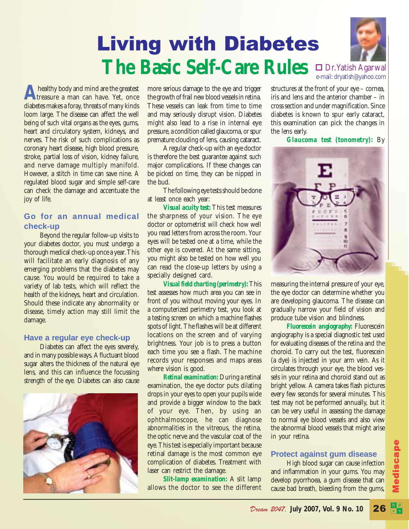### **The Basic Self-Care Rules**  $\prod_{e-\text{mail: dryatish } Q\text{ or } Q\text{ or } Q\text{ or } Q\text{ or } Q\text{ or } Q\text{ or } Q\text{ or } Q\text{ or } Q\text{ or } Q\text{ or } Q\text{ or } Q\text{ or } Q\text{ or } Q\text{ or } Q\text{ or } Q\text{ or } Q\text{ or } Q\text{ or } Q\text{ or } Q\text{ or } Q\text{ or } Q\text{ or } Q\text{ or } Q\text{ or } Q\text{ or } Q\text{ or } Q\text{ or } Q\text{ or } Q\text{ or } Q\text{ or }$ e-mail: dryatish@yahoo.com Living with Diabetes



**A** healthy body and mind are the greatest<br>treasure a man can have. Yet, once diabetes makes a foray, threats of many kinds loom large. The disease can affect the well being of such vital organs as the eyes, gums, heart and circulatory system, kidneys, and nerves. The risk of such complications as coronary heart disease, high blood pressure, stroke, partial loss of vision, kidney failure, and nerve damage multiply manifold. However, a stitch in time can save nine. A regulated blood sugar and simple self-care can check the damage and accentuate the joy of life.

#### **Go for an annual medical check-up**

Beyond the regular follow-up visits to your diabetes doctor, you must undergo a thorough medical check-up once a year. This will facilitate an early diagnosis of any emerging problems that the diabetes may cause. You would be required to take a variety of lab tests, which will reflect the health of the kidneys, heart and circulation. Should these indicate any abnormality or disease, timely action may still limit the damage.

#### **Have a regular eye check-up**

Diabetes can affect the eyes severely, and in many possible ways. A fluctuant blood sugar alters the thickness of the natural eye lens, and this can influence the focussing strength of the eye. Diabetes can also cause



more serious damage to the eye and trigger the growth of frail new blood vessels in retina. These vessels can leak from time to time and may seriously disrupt vision. Diabetes might also lead to a rise in internal eye pressure, a condition called glaucoma, or spur premature clouding of lens, causing cataract.

A regular check-up with an eye doctor is therefore the best guarantee against such major complications. If these changes can be picked on time, they can be nipped in the bud.

The following eye tests should be done at least once each year:

*Visual acuity test:* This test measures the sharpness of your vision. The eye doctor or optometrist will check how well you read letters from across the room. Your eyes will be tested one at a time, while the other eye is covered. At the same sitting, you might also be tested on how well you can read the close-up letters by using a specially designed card.

*Visual field charting (perimetry):*This test assesses how much area you can see in front of you without moving your eyes. In a computerized perimetry test, you look at a testing screen on which a machine flashes spots of light. The flashes will be at different locations on the screen and of varying brightness. Your job is to press a button each time you see a flash. The machine records your responses and maps areas where vision is good.

*Retinal examination:* During a retinal examination, the eye doctor puts dilating drops in your eyes to open your pupils wide and provide a bigger window to the back of your eye. Then, by using an ophthalmoscope, he can diagnose abnormalities in the vitreous, the retina, the optic nerve and the vascular coat of the eye. This test is especially important because retinal damage is the most common eye complication of diabetes. Treatment with laser can restrict the damage.

*Slit-lamp examination:* A slit lamp allows the doctor to see the different structures at the front of your eye – cornea, iris and lens and the anterior chamber – in cross section and under magnification. Since diabetes is known to spur early cataract, this examination can pick the changes in the lens early.

*Glaucoma test (tonometry):* By



measuring the internal pressure of your eye, the eye doctor can determine whether you are developing glaucoma. The disease can gradually narrow your field of vision and produce tube vision and blindness.

*Fluorescein angiography:* Fluorescein angiography is a special diagnostic test used for evaluating diseases of the retina and the choroid. To carry out the test, fluorescein (a dye) is injected in your arm vein. As it circulates through your eye, the blood vessels in your retina and choroid stand out as bright yellow. A camera takes flash pictures every few seconds for several minutes. This test may not be performed annually, but it can be very useful in assessing the damage to normal eye blood vessels and also view the abnormal blood vessels that might arise in your retina.

#### **Protect against gum disease**

High blood sugar can cause infection and inflammation in your gums. You may develop pyorrhoea, a gum disease that can cause bad breath, bleeding from the gums,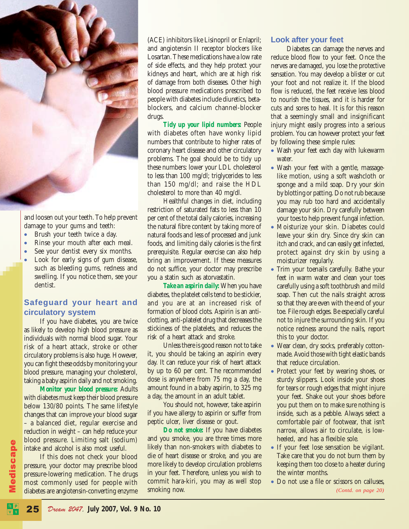

and loosen out your teeth. To help prevent damage to your gums and teeth:

- Brush your teeth twice a day.
- Rinse your mouth after each meal.
- See your dentist every six months.
- Look for early signs of gum disease, such as bleeding gums, redness and swelling. If you notice them, see your dentist.

#### **Safeguard your heart and circulatory system**

If you have diabetes, you are twice as likely to develop high blood pressure as individuals with normal blood sugar. Your risk of a heart attack, stroke or other circulatory problems is also huge. However, you can fight these odds by monitoring your blood pressure, managing your cholesterol, taking a baby aspirin daily and not smoking.

*Monitor your blood pressure:* Adults with diabetes must keep their blood pressure below 130/80 points. The same lifestyle changes that can improve your blood sugar – a balanced diet, regular exercise and reduction in weight – can help reduce your blood pressure. Limiting salt (sodium) intake and alcohol is also most useful.

If this does not check your blood pressure, your doctor may prescribe blood pressure-lowering medication. The drugs most commonly used for people with diabetes are angiotensin-converting enzyme

(ACE) inhibitors like Lisinopril or Enlapril; and angiotensin II receptor blockers like Losartan. These medications have a low rate of side effects, and they help protect your kidneys and heart, which are at high risk of damage from both diseases. Other high blood pressure medications prescribed to people with diabetes include diuretics, betablockers, and calcium channel-blocker drugs.

*Tidy up your lipid numbers:* People with diabetes often have wonky lipid numbers that contribute to higher rates of coronary heart disease and other circulatory problems. The goal should be to tidy up these numbers: lower your LDL cholesterol to less than 100 mg/dl; triglycerides to less than 150 mg/dl; and raise the HDL cholesterol to more than 40 mg/dl.

Healthful changes in diet, including restriction of saturated fats to less than 10 per cent of the total daily calories, increasing the natural fibre content by taking more of natural foods and less of processed and junk foods, and limiting daily calories is the first prerequisite. Regular exercise can also help bring an improvement. If these measures do not suffice, your doctor may prescribe you a statin such as atorvastatin.

*Take an aspirin daily:* When you have diabetes, the platelet cells tend to be stickier, and you are at an increased risk of formation of blood clots. Aspirin is an anticlotting, anti-platelet drug that decreases the stickiness of the platelets, and reduces the risk of a heart attack and stroke.

Unless there is good reason not to take it, you should be taking an aspirin every day. It can reduce your risk of heart attack by up to 60 per cent. The recommended dose is anywhere from 75 mg a day, the amount found in a baby aspirin, to 325 mg a day, the amount in an adult tablet.

You should not, however, take aspirin if you have allergy to aspirin or suffer from peptic ulcer, liver disease or gout.

*Do not smoke:* If you have diabetes and you smoke, you are three times more likely than non-smokers with diabetes to die of heart disease or stroke, and you are more likely to develop circulation problems in your feet. Therefore, unless you wish to commit hara-kiri, you may as well stop smoking now.

#### **Look after your feet**

Diabetes can damage the nerves and reduce blood flow to your feet. Once the nerves are damaged, you lose the protective sensation. You may develop a blister or cut your foot and not realize it. If the blood flow is reduced, the feet receive less blood to nourish the tissues, and it is harder for cuts and sores to heal. It is for this reason that a seemingly small and insignificant injury might easily progress into a serious problem. You can however protect your feet by following these simple rules:

- Wash your feet each day with lukewarm water.
- Wash your feet with a gentle, massagelike motion, using a soft washcloth or sponge and a mild soap. Dry your skin by blotting or patting. Do not rub because you may rub too hard and accidentally damage your skin. Dry carefully between your toes to help prevent fungal infection.
- Moisturize your skin. Diabetes could leave your skin dry. Since dry skin can itch and crack, and can easily get infected, protect against dry skin by using a moisturizer regularly.
- Trim your toenails carefully. Bathe your feet in warm water and clean your toes carefully using a soft toothbrush and mild soap. Then cut the nails straight across so that they are even with the end of your toe. File rough edges. Be especially careful not to injure the surrounding skin. If you notice redness around the nails, report this to your doctor.
- Wear clean, dry socks, preferably cottonmade. Avoid those with tight elastic bands that reduce circulation.
- Protect your feet by wearing shoes, or sturdy slippers. Look inside your shoes for tears or rough edges that might injure your feet. Shake out your shoes before you put them on to make sure nothing is inside, such as a pebble. Always select a comfortable pair of footwear, that isn't narrow, allows air to circulate, is lowheeled, and has a flexible sole.
- If your feet lose sensation be vigilant. Take care that you do not burn them by keeping them too close to a heater during the winter months.
- Do not use a file or scissors on calluses. *(Contd. on page 20)*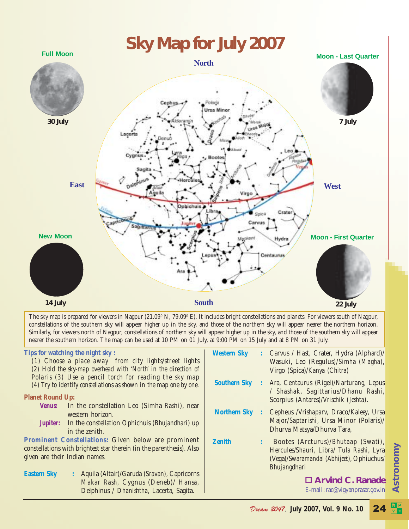

The sky map is prepared for viewers in Nagpur (21.09º N, 79.09º E). It includes bright constellations and planets. For viewers south of Nagpur, constellations of the southern sky will appear higher up in the sky, and those of the northern sky will appear nearer the northern horizon. Similarly, for viewers north of Nagpur, constellations of northern sky will appear higher up in the sky, and those of the southern sky will appear nearer the southern horizon. The map can be used at 10 PM on 01 July, at 9:00 PM on 15 July and at 8 PM on 31 July.

#### **Tips for watching the night sky :**

*(1) Choose a place away from city lights/street lights (2) Hold the sky-map overhead with 'North' in the direction of Polaris (3) Use a pencil torch for reading the sky map (4) Try to identify constellations as shown in the map one by one.*

#### **Planet Round Up:**

- *Venus:* In the constellation Leo (Simha *Rashi*), near western horizon.
- *Jupiter***:** In the constellation Ophichuis (*Bhujandhari*) up in the zenith.

**Prominent Constellations:** Given below are prominent constellations with brightest star therein (in the parenthesis). Also given are their Indian names.

**Eastern Sky :** Aquila (Altair)/*Garuda (Sravan),* Capricorns *Makar Rash,* Cygnus (Deneb)/ *Hansa,* Delphinus / *Dhanishtha*, Lacerta, Sagita.

| <b>Western Sky</b>  | $\mathbb{Z}^{\mathbb{Z}}$ | Carvus / <i>Hast</i> , Crater, Hydra (Alphard)/<br>Wasuki, Leo (Regulus)/Simha (Magha),<br>Virgo (Spica)/Kanya (Chitra)                              |
|---------------------|---------------------------|------------------------------------------------------------------------------------------------------------------------------------------------------|
| <b>Southern Sky</b> |                           | : Ara, Centaurus (Rigel)/ <i>Narturang</i> , Lepus<br>/ Shashak, Sagittarius/Dhanu Rashi,<br>Scorpius (Antares)/ <i>Vrischik (Jeshta)</i> .          |
| <b>Northern Sky</b> |                           | : Cepheus / Vrishapary, Draco/Kaleey, Ursa<br>Major/Saptarishi, Ursa Minor (Polaris)/<br>Dhurva Matsya/Dhurva Tara,                                  |
| <b>Zenith</b>       |                           | Bootes (Arcturus)/ <i>Bhutaap (Swati)</i> ,<br>Hercules/Shauri, Libra/ Tula Rashi, Lyra<br>(Vega)/Swaramandal (Abhijeet), Ophiuchus/<br>Bhujangdhari |
|                     |                           | □ Arvind C. Ranade                                                                                                                                   |
|                     |                           | E-mail: rac@vigyanprasar.gov.in                                                                                                                      |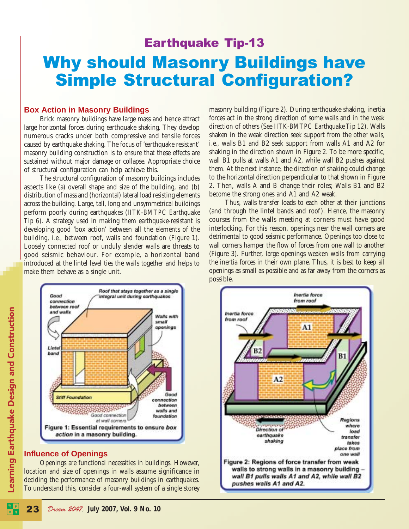### Earthquake Tip-13 Why should Masonry Buildings have Simple Structural Configuration?

#### **Box Action in Masonry Buildings**

Brick masonry buildings have large mass and hence attract large horizontal forces during earthquake shaking. They develop numerous cracks under both compressive and tensile forces caused by earthquake shaking. The focus of 'earthquake resistant' masonry building construction is to ensure that these effects are sustained without major damage or collapse. Appropriate choice of structural configuration can help achieve this.

The structural configuration of masonry buildings includes aspects like (a) overall shape and size of the building, and (b) distribution of mass and (horizontal) lateral load resisting elements across the building. Large, tall, long and unsymmetrical buildings perform poorly during earthquakes (*IITK-BMTPC Earthquake Tip 6)*. A strategy used in making them earthquake-resistant is developing good 'box action' between all the elements of the building, *i.e.,* between roof, walls and foundation (Figure 1). Loosely connected roof or unduly slender walls are threats to good seismic behaviour. For example, a horizontal band introduced at the lintel level ties the walls together and helps to make them behave as a single unit.



#### **Influence of Openings**

Openings are functional necessities in buildings. However, location and size of openings in walls assume significance in deciding the performance of masonry buildings in earthquakes. To understand this, consider a four-wall system of a single storey masonry building (Figure 2). During earthquake shaking, inertia forces act in the strong direction of some walls and in the weak direction of others (See *IITK-BMTPC Earthquake Tip 12*). Walls shaken in the weak direction seek support from the other walls, *i.e.,* walls B1 and B2 seek support from walls A1 and A2 for shaking in the direction shown in Figure 2. To be more specific, wall B1 pulls at walls A1 and A2, while wall B2 pushes against them. At the next instance, the direction of shaking could change to the horizontal direction perpendicular to that shown in Figure 2. Then, walls A and B change their roles; Walls B1 and B2 become the strong ones and A1 and A2 weak.

Thus, walls transfer loads to each other at their junctions (and through the lintel bands and roof). Hence, the masonry courses from the walls meeting at corners must have good interlocking. For this reason, openings near the wall corners are detrimental to good seismic performance. Openings too close to wall corners hamper the flow of forces from one wall to another (Figure 3). Further, large openings weaken walls from carrying the inertia forces in their own plane. Thus, it is best to keep all openings as small as possible and as far away from the corners as possible.

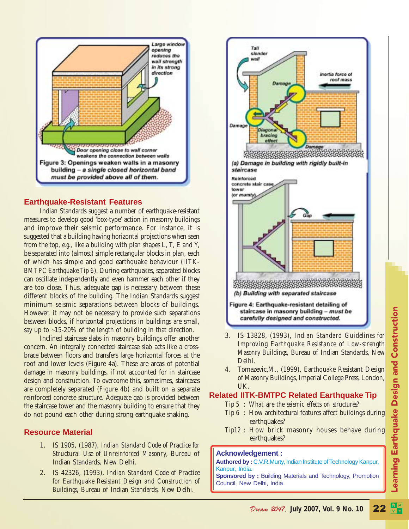

#### **Earthquake-Resistant Features**

Indian Standards suggest a number of earthquake-resistant measures to develop good 'box-type' action in masonry buildings and improve their seismic performance. For instance, it is suggested that a building having horizontal projections when seen from the top, *e.g.,* like a building with plan shapes L, T, E and Y, be separated into (almost) simple rectangular blocks in plan, each of which has simple and good earthquake behaviour (*IITK-BMTPC Earthquake Tip 6*). During earthquakes, separated blocks can oscillate independently and even hammer each other if they are too close. Thus, adequate gap is necessary between these different blocks of the building. The Indian Standards suggest minimum seismic separations between blocks of buildings. However, it may not be necessary to provide such separations between blocks, if horizontal projections in buildings are small, say up to ~15-20% of the length of building in that direction.

Inclined staircase slabs in masonry buildings offer another concern. An integrally connected staircase slab acts like a crossbrace between floors and transfers large horizontal forces at the roof and lower levels (Figure 4a). These are areas of potential damage in masonry buildings, if not accounted for in staircase design and construction. To overcome this, sometimes, staircases are completely separated (Figure 4b) and built on a separate reinforced concrete structure. Adequate gap is provided between the staircase tower and the masonry building to ensure that they do not pound each other during strong earthquake shaking.

#### **Resource Material**

- 1. IS 1905, (1987), *Indian Standard Code of Practice for Structural Use of Unreinforced Masonry*, Bureau of Indian Standards, New Delhi.
- 2. IS 42326, (1993), *Indian Standard Code of Practice for Earthquake Resistant Design and Construction of Buildings*, Bureau of Indian Standards, New Delhi.



- 3. IS 13828, (1993), *Indian Standard Guidelines for Improving Earthquake Resistance of Low-strength Masonry Buildings*, Bureau of Indian Standards, New Delhi.
- 4. Tomazevic,M., (1999), Earthquake Resistant Design of Masonry Buildings, Imperial College Press, London, UK.
- **Related IITK-BMTPC Related Earthquake Tip**
	- *Tip 5 : What are the seismic effects on structures?*
		- *Tip 6 :* How architectural features affect buildings during earthquakes?
	- *Tip12 :* How brick masonry houses behave during earthquakes?

#### **Acknowledgement :**

**Authored by :** C.V.R.Murty, Indian Institute of Technology Kanpur, Kanpur, India.

**Sponsored by :** Building Materials and Technology, Promotion Council, New Delhi, India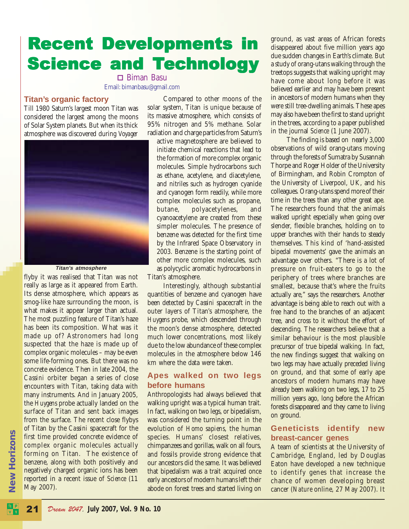# **Recent Developments in Science and Technology**

 Biman Basu Email: bimanbasu@gmail.com

#### **Titan's organic factory**

Till 1980 Saturn's largest moon Titan was considered the largest among the moons of Solar System planets. But when its thick atmosphere was discovered during *Voyager*



#### **Titan's atmosphere**

flyby it was realised that Titan was not really as large as it appeared from Earth. Its dense atmosphere, which appears as smog-like haze surrounding the moon, is what makes it appear larger than actual. The most puzzling feature of Titan's haze has been its composition. What was it made up of? Astronomers had long suspected that the haze is made up of complex organic molecules – may be even some life-forming ones. But there was no concrete evidence. Then in late 2004, the *Cassini* orbiter began a series of close encounters with Titan, taking data with many instruments. And in January 2005, the *Huygens* probe actually landed on the surface of Titan and sent back images from the surface. The recent close flybys of Titan by the *Cassini* spacecraft for the first time provided concrete evidence of complex organic molecules actually forming on Titan. The existence of benzene, along with both positively and negatively charged organic ions has been reported in a recent issue of *Science* (11 May 2007).

Compared to other moons of the solar system, Titan is unique because of its massive atmosphere, which consists of 95% nitrogen and 5% methane. Solar radiation and charge particles from Saturn's

active magnetosphere are believed to initiate chemical reactions that lead to the formation of more complex organic molecules. Simple hydrocarbons such as ethane, acetylene, and diacetylene, and nitriles such as hydrogen cyanide and cyanogen form readily, while more complex molecules such as propane, butane, polyacetylenes, and cyanoacetylene are created from these simpler molecules. The presence of benzene was detected for the first time by the Infrared Space Observatory in 2003. Benzene is the starting point of other more complex molecules, such as polycyclic aromatic hydrocarbons in Titan's atmosphere.

Interestingly, although substantial quantities of benzene and cyanogen have been detected by *Cassini* spacecraft in the outer layers of Titan's atmosphere, the *Huygens* probe, which descended through the moon's dense atmosphere, detected much lower concentrations, most likely due to the low abundance of these complex molecules in the atmosphere below 146 km where the data were taken.

#### **Apes walked on two legs before humans**

Anthropologists had always believed that walking upright was a typical human trait. In fact, walking on two legs, or bipedalism, was considered the turning point in the evolution of *Homo sapiens*, the human species. Humans' closest relatives, chimpanzees and gorillas, walk on all fours, and fossils provide strong evidence that our ancestors did the same. It was believed that bipedalism was a trait acquired once early ancestors of modern humans left their abode on forest trees and started living on

ground, as vast areas of African forests disappeared about five million years ago due sudden changes in Earth's climate. But a study of orang-utans walking through the treetops suggests that walking upright may have come about long before it was believed earlier and may have been present in ancestors of modern humans when they were still tree-dwelling animals. These apes may also have been the first to stand upright in the trees, according to a paper published in the journal *Science* (1 June 2007).

The finding is based on nearly 3,000 observations of wild orang-utans moving through the forests of Sumatra by Susannah Thorpe and Roger Holder of the University of Birmingham, and Robin Crompton of the University of Liverpool, UK, and his colleagues. Orang-utans spend more of their time in the trees than any other great ape. The researchers found that the animals walked upright especially when going over slender, flexible branches, holding on to upper branches with their hands to steady themselves. This kind of 'hand-assisted bipedal movements' gave the animals an advantage over others. "There is a lot of pressure on fruit-eaters to go to the periphery of trees where branches are smallest, because that's where the fruits actually are," says the researchers. Another advantage is being able to reach out with a free hand to the branches of an adjacent tree, and cross to it without the effort of descending. The researchers believe that a similar behaviour is the most plausible precursor of true bipedal walking. In fact, the new findings suggest that walking on two legs may have actually preceded living on ground, and that some of early ape ancestors of modern humans may have already been walking on two legs, 17 to 25 million years ago, long before the African forests disappeared and they came to living on ground.

#### **Geneticists identify new breast-cancer genes**

A team of scientists at the University of Cambridge, England, led by Douglas Eaton have developed a new technique to identify genes that increase the chance of women developing breast cancer (*Nature* online, 27 May 2007). It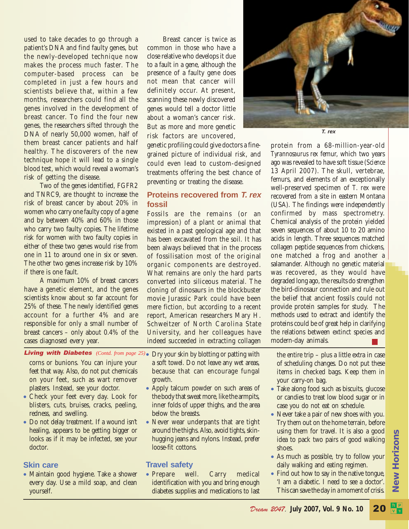used to take decades to go through a patient's DNA and find faulty genes, but the newly-developed technique now makes the process much faster. The computer-based process can be completed in just a few hours and scientists believe that, within a few months, researchers could find all the genes involved in the development of breast cancer. To find the four new genes, the researchers sifted through the DNA of nearly 50,000 women, half of them breast cancer patients and half healthy. The discoverers of the new technique hope it will lead to a single blood test, which would reveal a woman's risk of getting the disease.

Two of the genes identified, FGFR2 and TNRC9, are thought to increase the risk of breast cancer by about 20% in women who carry one faulty copy of a gene and by between 40% and 60% in those who carry two faulty copies. The lifetime risk for women with two faulty copies in either of these two genes would rise from one in 11 to around one in six or seven. The other two genes increase risk by 10% if there is one fault.

A maximum 10% of breast cancers have a genetic element, and the genes scientists know about so far account for 25% of these. The newly identified genes account for a further 4% and are responsible for only a small number of breast cancers – only about 0.4% of the cases diagnosed every year.

Breast cancer is twice as common in those who have a close relative who develops it due to a fault in a gene, although the presence of a faulty gene does not mean that cancer will definitely occur. At present, scanning these newly discovered genes would tell a doctor little about a woman's cancer risk. But as more and more genetic risk factors are uncovered,

genetic profiling could give doctors a finegrained picture of individual risk, and could even lead to custom-designed treatments offering the best chance of preventing or treating the disease.

#### **Proteins recovered from T. rex fossil**

Fossils are the remains (or an impression) of a plant or animal that existed in a past geological age and that has been excavated from the soil. It has been always believed that in the process of fossilisation most of the original organic components are destroyed. What remains are only the hard parts converted into siliceous material. The cloning of dinosaurs in the blockbuster movie Jurassic Park could have been mere fiction, but according to a recent report, American researchers Mary H. Schweitzer of North Carolina State University, and her colleagues have indeed succeeded in extracting collagen



corns or bunions. You can injure your feet that way. Also, do not put chemicals on your feet, such as wart remover plasters. Instead, see your doctor.

- Check your feet every day. Look for blisters, cuts, bruises, cracks, peeling, redness, and swelling.
- Do not delay treatment. If a wound isn't healing, appears to be getting bigger or looks as if it may be infected, see your doctor.

#### **Skin care**

• Maintain good hygiene. Take a shower every day. Use a mild soap, and clean yourself.

- a soft towel. Do not leave any wet areas, because that can encourage fungal growth.
- Apply talcum powder on such areas of the body that sweat more, like the armpits, inner folds of upper thighs, and the area below the breasts.
- Never wear underpants that are tight around the thighs. Also, avoid tights, skinhugging jeans and nylons. Instead, prefer loose-fit cottons.

#### **Travel safety**

• Prepare well. Carry medical identification with you and bring enough diabetes supplies and medications to last

Living with Diabetes (Contd. from page 25). Dry your skin by blotting or patting with the entire trip – plus a little extra in case of scheduling changes. Do not put these items in checked bags. Keep them in your carry-on bag.

- Take along food such as biscuits, glucose or candies to treat low blood sugar or in case you do not eat on schedule.
- Never take a pair of new shoes with you. Try them out on the home terrain, before using them for travel. It is also a good idea to pack two pairs of good walking shoes.
- As much as possible, try to follow your daily walking and eating regimen.
- Find out how to say in the native tongue, 'I am a diabetic. I need to see a doctor'. This can save the day in a moment of crisis.



protein from a 68-million-year-old *Tyrannosaurus rex* femur, which two years ago was revealed to have soft tissue (*Science* 13 April 2007). The skull, vertebrae, femurs, and elements of an exceptionally well-preserved specimen of *T. rex* were recovered from a site in eastern Montana (USA). The findings were independently confirmed by mass spectrometry. Chemical analysis of the protein yielded seven sequences of about 10 to 20 amino acids in length. Three sequences matched collagen peptide sequences from chickens, one matched a frog and another a salamander. Although no genetic material was recovered, as they would have degraded long ago, the results do strengthen the bird-dinosaur connection and rule out the belief that ancient fossils could not provide protein samples for study. The methods used to extract and identify the proteins could be of great help in clarifying the relations between extinct species and modern-day animals.